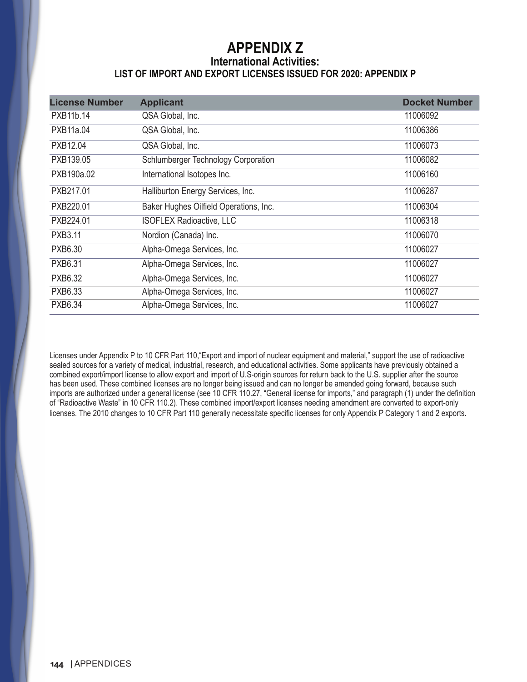## **APPENDIX Z International Activities: LIST OF IMPORT AND EXPORT LICENSES ISSUED FOR 2020: APPENDIX P**

| <b>License Number</b> | <b>Applicant</b>                       | <b>Docket Number</b> |
|-----------------------|----------------------------------------|----------------------|
| PXB11b.14             | QSA Global, Inc.                       | 11006092             |
| PXB11a.04             | QSA Global, Inc.                       | 11006386             |
| PXB12.04              | QSA Global, Inc.                       | 11006073             |
| PXB139.05             | Schlumberger Technology Corporation    | 11006082             |
| PXB190a.02            | International Isotopes Inc.            | 11006160             |
| PXB217.01             | Halliburton Energy Services, Inc.      | 11006287             |
| PXB220.01             | Baker Hughes Oilfield Operations, Inc. | 11006304             |
| PXB224.01             | <b>ISOFLEX Radioactive, LLC</b>        | 11006318             |
| <b>PXB3.11</b>        | Nordion (Canada) Inc.                  | 11006070             |
| PXB6.30               | Alpha-Omega Services, Inc.             | 11006027             |
| <b>PXB6.31</b>        | Alpha-Omega Services, Inc.             | 11006027             |
| <b>PXB6.32</b>        | Alpha-Omega Services, Inc.             | 11006027             |
| PXB6.33               | Alpha-Omega Services, Inc.             | 11006027             |
| <b>PXB6.34</b>        | Alpha-Omega Services, Inc.             | 11006027             |

Licenses under Appendix P to 10 CFR Part 110,"Export and import of nuclear equipment and material," support the use of radioactive sealed sources for a variety of medical, industrial, research, and educational activities. Some applicants have previously obtained a combined export/import license to allow export and import of U.S-origin sources for return back to the U.S. supplier after the source has been used. These combined licenses are no longer being issued and can no longer be amended going forward, because such imports are authorized under a general license (see 10 CFR 110.27, "General license for imports," and paragraph (1) under the definition of "Radioactive Waste" in 10 CFR 110.2). These combined import/export licenses needing amendment are converted to export-only licenses. The 2010 changes to 10 CFR Part 110 generally necessitate specific licenses for only Appendix P Category 1 and 2 exports.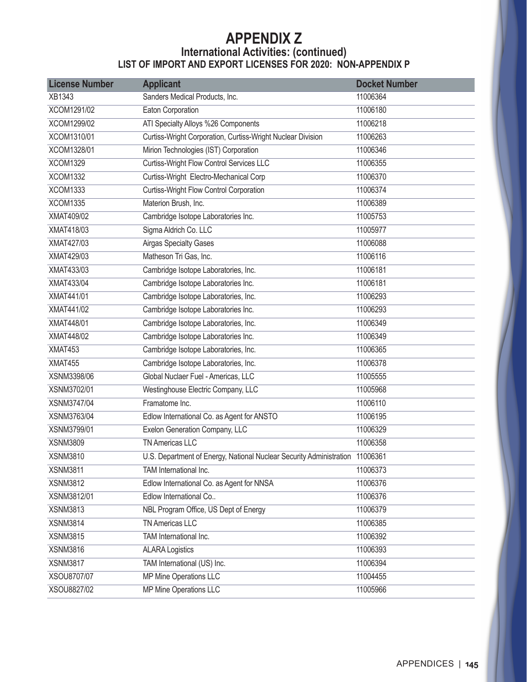## **APPENDIX Z International Activities: (continued) LIST OF IMPORT AND EXPORT LICENSES FOR 2020: NON-APPENDIX P**

| <b>License Number</b> | <b>Applicant</b>                                                             | <b>Docket Number</b> |
|-----------------------|------------------------------------------------------------------------------|----------------------|
| XB1343                | Sanders Medical Products, Inc.                                               | 11006364             |
| XCOM1291/02           | Eaton Corporation                                                            | 11006180             |
| XCOM1299/02           | ATI Specialty Alloys %26 Components                                          | 11006218             |
| XCOM1310/01           | Curtiss-Wright Corporation, Curtiss-Wright Nuclear Division                  | 11006263             |
| XCOM1328/01           | Mirion Technologies (IST) Corporation                                        | 11006346             |
| <b>XCOM1329</b>       | Curtiss-Wright Flow Control Services LLC                                     | 11006355             |
| <b>XCOM1332</b>       | Curtiss-Wright Electro-Mechanical Corp                                       | 11006370             |
| <b>XCOM1333</b>       | <b>Curtiss-Wright Flow Control Corporation</b>                               | 11006374             |
| <b>XCOM1335</b>       | Materion Brush, Inc.                                                         | 11006389             |
| XMAT409/02            | Cambridge Isotope Laboratories Inc.                                          | 11005753             |
| XMAT418/03            | Sigma Aldrich Co. LLC                                                        | 11005977             |
| XMAT427/03            | <b>Airgas Specialty Gases</b>                                                | 11006088             |
| XMAT429/03            | Matheson Tri Gas, Inc.                                                       | 11006116             |
| XMAT433/03            | Cambridge Isotope Laboratories, Inc.                                         | 11006181             |
| XMAT433/04            | Cambridge Isotope Laboratories Inc.                                          | 11006181             |
| XMAT441/01            | Cambridge Isotope Laboratories, Inc.                                         | 11006293             |
| XMAT441/02            | Cambridge Isotope Laboratories Inc.                                          | 11006293             |
| XMAT448/01            | Cambridge Isotope Laboratories, Inc.                                         | 11006349             |
| XMAT448/02            | Cambridge Isotope Laboratories Inc.                                          | 11006349             |
| XMAT453               | Cambridge Isotope Laboratories, Inc.                                         | 11006365             |
| XMAT455               | Cambridge Isotope Laboratories, Inc.                                         | 11006378             |
| XSNM3398/06           | Global Nuclaer Fuel - Americas, LLC                                          | 11005555             |
| XSNM3702/01           | Westinghouse Electric Company, LLC                                           | 11005968             |
| XSNM3747/04           | Framatome Inc.                                                               | 11006110             |
| XSNM3763/04           | Edlow International Co. as Agent for ANSTO                                   | 11006195             |
| XSNM3799/01           | Exelon Generation Company, LLC                                               | 11006329             |
| <b>XSNM3809</b>       | TN Americas LLC                                                              | 11006358             |
| <b>XSNM3810</b>       | U.S. Department of Energy, National Nuclear Security Administration 11006361 |                      |
| <b>XSNM3811</b>       | TAM International Inc.                                                       | 11006373             |
| <b>XSNM3812</b>       | Edlow International Co. as Agent for NNSA                                    | 11006376             |
| XSNM3812/01           | Edlow International Co                                                       | 11006376             |
| <b>XSNM3813</b>       | NBL Program Office, US Dept of Energy                                        | 11006379             |
| <b>XSNM3814</b>       | TN Americas LLC                                                              | 11006385             |
| <b>XSNM3815</b>       | TAM International Inc.                                                       | 11006392             |
| <b>XSNM3816</b>       | <b>ALARA Logistics</b>                                                       | 11006393             |
| <b>XSNM3817</b>       | TAM International (US) Inc.                                                  | 11006394             |
| XSOU8707/07           | <b>MP Mine Operations LLC</b>                                                | 11004455             |
| XSOU8827/02           | MP Mine Operations LLC                                                       | 11005966             |